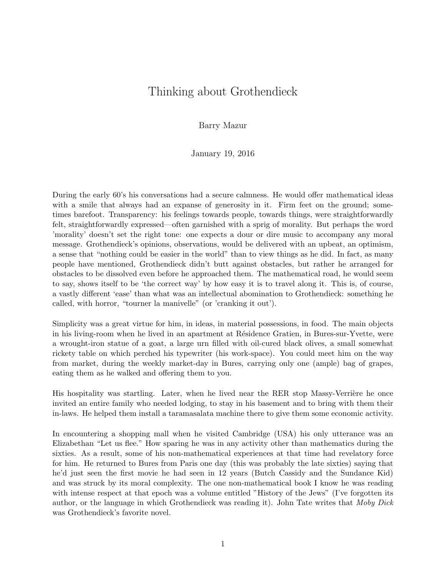## Thinking about Grothendieck

Barry Mazur

January 19, 2016

During the early 60's his conversations had a secure calmness. He would offer mathematical ideas with a smile that always had an expanse of generosity in it. Firm feet on the ground; sometimes barefoot. Transparency: his feelings towards people, towards things, were straightforwardly felt, straightforwardly expressed—often garnished with a sprig of morality. But perhaps the word 'morality' doesn't set the right tone: one expects a dour or dire music to accompany any moral message. Grothendieck's opinions, observations, would be delivered with an upbeat, an optimism, a sense that "nothing could be easier in the world" than to view things as he did. In fact, as many people have mentioned, Grothendieck didn't butt against obstacles, but rather he arranged for obstacles to be dissolved even before he approached them. The mathematical road, he would seem to say, shows itself to be 'the correct way' by how easy it is to travel along it. This is, of course, a vastly different 'ease' than what was an intellectual abomination to Grothendieck: something he called, with horror, "tourner la manivelle" (or 'cranking it out').

Simplicity was a great virtue for him, in ideas, in material possessions, in food. The main objects in his living-room when he lived in an apartment at Résidence Gratien, in Bures-sur-Yvette, were a wrought-iron statue of a goat, a large urn filled with oil-cured black olives, a small somewhat rickety table on which perched his typewriter (his work-space). You could meet him on the way from market, during the weekly market-day in Bures, carrying only one (ample) bag of grapes, eating them as he walked and offering them to you.

His hospitality was startling. Later, when he lived near the RER stop Massy-Verrière he once invited an entire family who needed lodging, to stay in his basement and to bring with them their in-laws. He helped them install a taramasalata machine there to give them some economic activity.

In encountering a shopping mall when he visited Cambridge (USA) his only utterance was an Elizabethan "Let us flee." How sparing he was in any activity other than mathematics during the sixties. As a result, some of his non-mathematical experiences at that time had revelatory force for him. He returned to Bures from Paris one day (this was probably the late sixties) saying that he'd just seen the first movie he had seen in 12 years (Butch Cassidy and the Sundance Kid) and was struck by its moral complexity. The one non-mathematical book I know he was reading with intense respect at that epoch was a volume entitled "History of the Jews" (I've forgotten its author, or the language in which Grothendieck was reading it). John Tate writes that Moby Dick was Grothendieck's favorite novel.